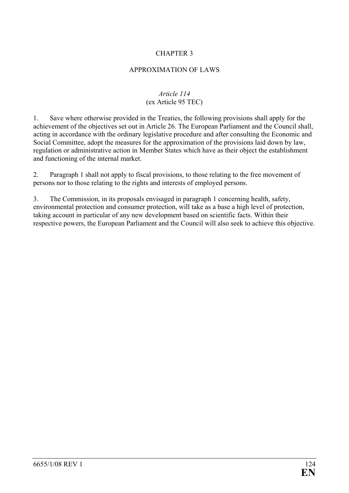## CHAPTER 3

## APPROXIMATION OF LAWS

## *Article 114*  (ex Article 95 TEC)

1. Save where otherwise provided in the Treaties, the following provisions shall apply for the achievement of the objectives set out in Article 26. The European Parliament and the Council shall, acting in accordance with the ordinary legislative procedure and after consulting the Economic and Social Committee, adopt the measures for the approximation of the provisions laid down by law, regulation or administrative action in Member States which have as their object the establishment and functioning of the internal market.

2. Paragraph 1 shall not apply to fiscal provisions, to those relating to the free movement of persons nor to those relating to the rights and interests of employed persons.

3. The Commission, in its proposals envisaged in paragraph 1 concerning health, safety, environmental protection and consumer protection, will take as a base a high level of protection, taking account in particular of any new development based on scientific facts. Within their respective powers, the European Parliament and the Council will also seek to achieve this objective.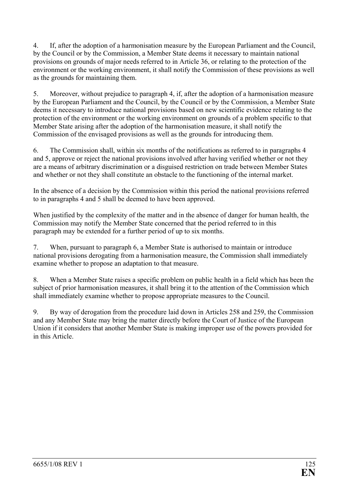4. If, after the adoption of a harmonisation measure by the European Parliament and the Council, by the Council or by the Commission, a Member State deems it necessary to maintain national provisions on grounds of major needs referred to in Article 36, or relating to the protection of the environment or the working environment, it shall notify the Commission of these provisions as well as the grounds for maintaining them.

5. Moreover, without prejudice to paragraph 4, if, after the adoption of a harmonisation measure by the European Parliament and the Council, by the Council or by the Commission, a Member State deems it necessary to introduce national provisions based on new scientific evidence relating to the protection of the environment or the working environment on grounds of a problem specific to that Member State arising after the adoption of the harmonisation measure, it shall notify the Commission of the envisaged provisions as well as the grounds for introducing them.

6. The Commission shall, within six months of the notifications as referred to in paragraphs 4 and 5, approve or reject the national provisions involved after having verified whether or not they are a means of arbitrary discrimination or a disguised restriction on trade between Member States and whether or not they shall constitute an obstacle to the functioning of the internal market.

In the absence of a decision by the Commission within this period the national provisions referred to in paragraphs 4 and 5 shall be deemed to have been approved.

When justified by the complexity of the matter and in the absence of danger for human health, the Commission may notify the Member State concerned that the period referred to in this paragraph may be extended for a further period of up to six months.

7. When, pursuant to paragraph 6, a Member State is authorised to maintain or introduce national provisions derogating from a harmonisation measure, the Commission shall immediately examine whether to propose an adaptation to that measure.

8. When a Member State raises a specific problem on public health in a field which has been the subject of prior harmonisation measures, it shall bring it to the attention of the Commission which shall immediately examine whether to propose appropriate measures to the Council.

9. By way of derogation from the procedure laid down in Articles 258 and 259, the Commission and any Member State may bring the matter directly before the Court of Justice of the European Union if it considers that another Member State is making improper use of the powers provided for in this Article.